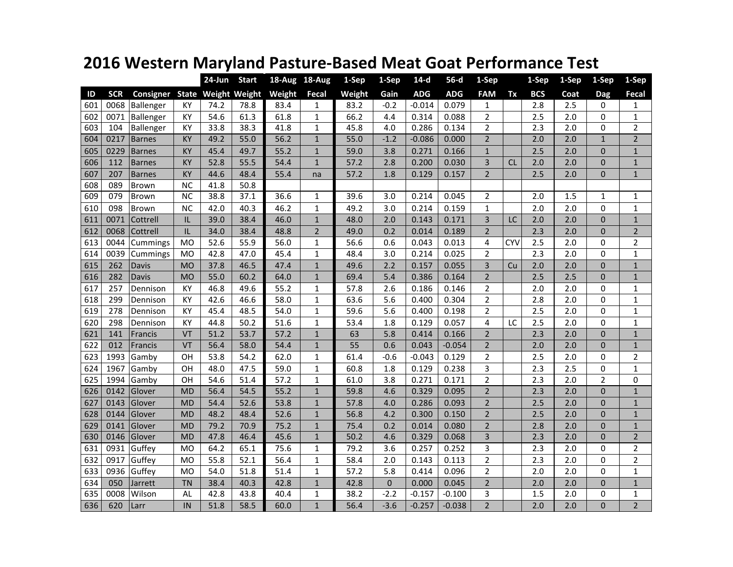|  |  | 2016 Western Maryland Pasture-Based Meat Goat Performance Test |
|--|--|----------------------------------------------------------------|
|--|--|----------------------------------------------------------------|

|     |            |               |           | $24$ -Jun | <b>Start</b>               | 18-Aug 18-Aug |                | 1-Sep  | 1-Sep            | $14-d$     | $56-d$     | 1-Sep          |            | 1-Sep            | 1-Sep | 1-Sep          | 1-Sep          |
|-----|------------|---------------|-----------|-----------|----------------------------|---------------|----------------|--------|------------------|------------|------------|----------------|------------|------------------|-------|----------------|----------------|
| ID  | <b>SCR</b> | Consigner     |           |           | <b>State Weight Weight</b> | Weight        | <b>Fecal</b>   | Weight | Gain             | <b>ADG</b> | <b>ADG</b> | <b>FAM</b>     | Tx         | <b>BCS</b>       | Coat  | Dag            | Fecal          |
| 601 | 0068       | Ballenger     | ΚY        | 74.2      | 78.8                       | 83.4          | 1              | 83.2   | $-0.2$           | $-0.014$   | 0.079      | 1              |            | 2.8              | 2.5   | 0              | $\mathbf{1}$   |
| 602 | 0071       | Ballenger     | KY        | 54.6      | 61.3                       | 61.8          | $\mathbf{1}$   | 66.2   | 4.4              | 0.314      | 0.088      | $\overline{2}$ |            | 2.5              | 2.0   | $\Omega$       | $\mathbf{1}$   |
| 603 | 104        | Ballenger     | KY        | 33.8      | 38.3                       | 41.8          | 1              | 45.8   | 4.0              | 0.286      | 0.134      | $\overline{2}$ |            | 2.3              | 2.0   | $\Omega$       | $\overline{2}$ |
| 604 | 0217       | <b>Barnes</b> | KY        | 49.2      | 55.0                       | 56.2          | $\mathbf{1}$   | 55.0   | $-1.2$           | $-0.086$   | 0.000      | $\overline{2}$ |            | 2.0              | 2.0   | $\mathbf{1}$   | $\overline{2}$ |
| 605 | 0229       | <b>Barnes</b> | KY        | 45.4      | 49.7                       | 55.2          | $\mathbf{1}$   | 59.0   | 3.8              | 0.271      | 0.166      | $\mathbf{1}$   |            | 2.5              | 2.0   | $\Omega$       | $\mathbf{1}$   |
| 606 | 112        | <b>Barnes</b> | KY        | 52.8      | 55.5                       | 54.4          | $\mathbf{1}$   | 57.2   | 2.8              | 0.200      | 0.030      | 3              | <b>CL</b>  | 2.0              | 2.0   | $\Omega$       | $\mathbf{1}$   |
| 607 | 207        | <b>Barnes</b> | KY        | 44.6      | 48.4                       | 55.4          | na             | 57.2   | 1.8              | 0.129      | 0.157      | $\overline{2}$ |            | 2.5              | 2.0   | $\Omega$       | $\mathbf{1}$   |
| 608 | 089        | <b>Brown</b>  | <b>NC</b> | 41.8      | 50.8                       |               |                |        |                  |            |            |                |            |                  |       |                |                |
| 609 | 079        | Brown         | <b>NC</b> | 38.8      | 37.1                       | 36.6          | $\mathbf{1}$   | 39.6   | $\overline{3.0}$ | 0.214      | 0.045      | $\overline{2}$ |            | $\overline{2.0}$ | 1.5   | $\mathbf{1}$   | $\mathbf{1}$   |
| 610 | 098        | Brown         | <b>NC</b> | 42.0      | 40.3                       | 46.2          | $\mathbf{1}$   | 49.2   | 3.0              | 0.214      | 0.159      | $\mathbf{1}$   |            | 2.0              | 2.0   | 0              | $\mathbf{1}$   |
| 611 | 0071       | Cottrell      | IL        | 39.0      | 38.4                       | 46.0          | $\mathbf{1}$   | 48.0   | 2.0              | 0.143      | 0.171      | 3              | LC         | 2.0              | 2.0   | $\overline{0}$ | $\mathbf{1}$   |
| 612 | 0068       | Cottrell      | IL        | 34.0      | 38.4                       | 48.8          | $\overline{2}$ | 49.0   | 0.2              | 0.014      | 0.189      | $\overline{2}$ |            | 2.3              | 2.0   | $\overline{0}$ | $\overline{2}$ |
| 613 | 0044       | Cummings      | <b>MO</b> | 52.6      | 55.9                       | 56.0          | $\mathbf{1}$   | 56.6   | 0.6              | 0.043      | 0.013      | 4              | <b>CYV</b> | 2.5              | 2.0   | 0              | $\overline{2}$ |
| 614 | 0039       | Cummings      | <b>MO</b> | 42.8      | 47.0                       | 45.4          | $\mathbf{1}$   | 48.4   | 3.0              | 0.214      | 0.025      | $\overline{2}$ |            | 2.3              | 2.0   | $\Omega$       | 1              |
| 615 | 262        | Davis         | <b>MO</b> | 37.8      | 46.5                       | 47.4          | $\mathbf{1}$   | 49.6   | 2.2              | 0.157      | 0.055      | 3              | Cu         | 2.0              | 2.0   | $\Omega$       | $\mathbf{1}$   |
| 616 | 282        | Davis         | <b>MO</b> | 55.0      | 60.2                       | 64.0          | $\mathbf{1}$   | 69.4   | 5.4              | 0.386      | 0.164      | $\overline{2}$ |            | 2.5              | 2.5   | $\overline{0}$ | $\mathbf{1}$   |
| 617 | 257        | Dennison      | KY        | 46.8      | 49.6                       | 55.2          | 1              | 57.8   | 2.6              | 0.186      | 0.146      | $\overline{2}$ |            | 2.0              | 2.0   | 0              | $\mathbf 1$    |
| 618 | 299        | Dennison      | KY        | 42.6      | 46.6                       | 58.0          | $\mathbf{1}$   | 63.6   | 5.6              | 0.400      | 0.304      | $\overline{2}$ |            | 2.8              | 2.0   | $\overline{0}$ | $\mathbf{1}$   |
| 619 | 278        | Dennison      | KY        | 45.4      | 48.5                       | 54.0          | $\mathbf{1}$   | 59.6   | 5.6              | 0.400      | 0.198      | $\overline{2}$ |            | 2.5              | 2.0   | $\overline{0}$ | 1              |
| 620 | 298        | Dennison      | KY        | 44.8      | 50.2                       | 51.6          | 1              | 53.4   | 1.8              | 0.129      | 0.057      | 4              | LC         | 2.5              | 2.0   | 0              | 1              |
| 621 | 141        | Francis       | VT        | 51.2      | 53.7                       | 57.2          | $\mathbf{1}$   | 63     | 5.8              | 0.414      | 0.166      | $\overline{2}$ |            | 2.3              | 2.0   | $\mathbf{0}$   | $\mathbf{1}$   |
| 622 | 012        | Francis       | VT        | 56.4      | 58.0                       | 54.4          | $\mathbf{1}$   | 55     | 0.6              | 0.043      | $-0.054$   | $\overline{2}$ |            | 2.0              | 2.0   | $\Omega$       | $\mathbf{1}$   |
| 623 | 1993       | Gamby         | OH        | 53.8      | 54.2                       | 62.0          | 1              | 61.4   | $-0.6$           | $-0.043$   | 0.129      | 2              |            | 2.5              | 2.0   | $\Omega$       | 2              |
| 624 | 1967       | Gamby         | OН        | 48.0      | 47.5                       | 59.0          | 1              | 60.8   | 1.8              | 0.129      | 0.238      | 3              |            | 2.3              | 2.5   | 0              | 1              |
| 625 | 1994       | Gamby         | OH        | 54.6      | 51.4                       | 57.2          | $\mathbf{1}$   | 61.0   | 3.8              | 0.271      | 0.171      | $\overline{2}$ |            | 2.3              | 2.0   | $\overline{2}$ | 0              |
| 626 | 0142       | Glover        | <b>MD</b> | 56.4      | 54.5                       | 55.2          | $\mathbf{1}$   | 59.8   | 4.6              | 0.329      | 0.095      | $\overline{2}$ |            | 2.3              | 2.0   | $\mathbf{0}$   | $\mathbf{1}$   |
| 627 | 0143       | Glover        | <b>MD</b> | 54.4      | 52.6                       | 53.8          | $\mathbf{1}$   | 57.8   | 4.0              | 0.286      | 0.093      | $\overline{2}$ |            | 2.5              | 2.0   | $\overline{0}$ | $\mathbf{1}$   |
| 628 | 0144       | Glover        | <b>MD</b> | 48.2      | 48.4                       | 52.6          | $\mathbf{1}$   | 56.8   | 4.2              | 0.300      | 0.150      | $\overline{2}$ |            | 2.5              | 2.0   | $\mathbf{0}$   | $\mathbf{1}$   |
| 629 | 0141       | Glover        | <b>MD</b> | 79.2      | 70.9                       | 75.2          | $\mathbf{1}$   | 75.4   | 0.2              | 0.014      | 0.080      | $\overline{2}$ |            | 2.8              | 2.0   | $\mathbf{0}$   | $\mathbf{1}$   |
| 630 | 0146       | Glover        | <b>MD</b> | 47.8      | 46.4                       | 45.6          | $\mathbf{1}$   | 50.2   | 4.6              | 0.329      | 0.068      | 3              |            | 2.3              | 2.0   | $\overline{0}$ | $\overline{2}$ |
| 631 | 0931       | Guffey        | <b>MO</b> | 64.2      | 65.1                       | 75.6          | 1              | 79.2   | 3.6              | 0.257      | 0.252      | 3              |            | 2.3              | 2.0   | 0              | $\overline{2}$ |
| 632 | 0917       | Guffey        | <b>MO</b> | 55.8      | 52.1                       | 56.4          | $\mathbf{1}$   | 58.4   | 2.0              | 0.143      | 0.113      | $\overline{2}$ |            | 2.3              | 2.0   | 0              | $\overline{2}$ |
| 633 | 0936       | Guffey        | <b>MO</b> | 54.0      | 51.8                       | 51.4          | $\mathbf{1}$   | 57.2   | 5.8              | 0.414      | 0.096      | $\overline{2}$ |            | 2.0              | 2.0   | 0              | 1              |
| 634 | 050        | Jarrett       | <b>TN</b> | 38.4      | 40.3                       | 42.8          | $\mathbf{1}$   | 42.8   | $\mathbf{0}$     | 0.000      | 0.045      | $\overline{2}$ |            | 2.0              | 2.0   | $\mathbf{0}$   | $\mathbf{1}$   |
| 635 | 0008       | Wilson        | AL        | 42.8      | 43.8                       | 40.4          | $\mathbf{1}$   | 38.2   | $-2.2$           | $-0.157$   | $-0.100$   | 3              |            | 1.5              | 2.0   | $\Omega$       | 1              |
| 636 | 620        | Larr          | IN        | 51.8      | 58.5                       | 60.0          | $\mathbf{1}$   | 56.4   | $-3.6$           | $-0.257$   | $-0.038$   | $\overline{2}$ |            | 2.0              | 2.0   | $\overline{0}$ | $\overline{2}$ |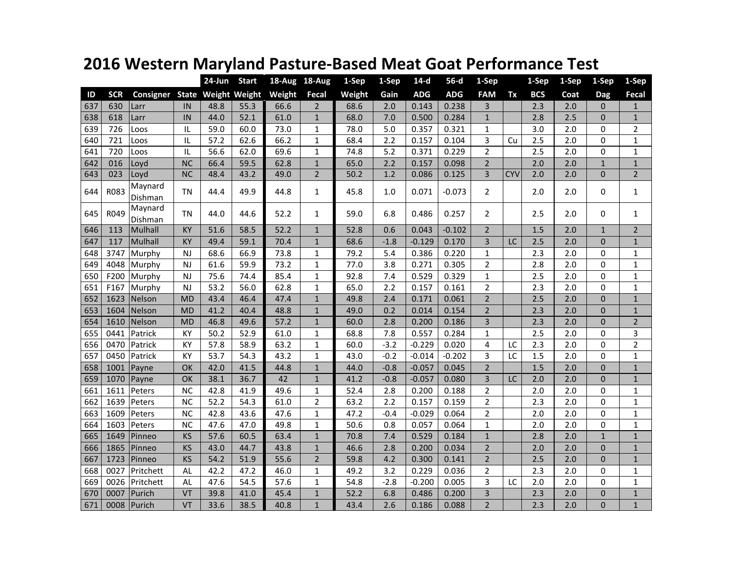|     |            |                    |           | 24-Jun | <b>Start</b>               | 18-Aug 18-Aug |                | 1-Sep  | 1-Sep   | $14-d$     | $56-d$     | 1-Sep          |            | 1-Sep      | 1-Sep | 1-Sep        | 1-Sep          |
|-----|------------|--------------------|-----------|--------|----------------------------|---------------|----------------|--------|---------|------------|------------|----------------|------------|------------|-------|--------------|----------------|
| ID  | <b>SCR</b> | Consigner          |           |        | <b>State Weight Weight</b> | Weight        | Fecal          | Weight | Gain    | <b>ADG</b> | <b>ADG</b> | <b>FAM</b>     | Tx         | <b>BCS</b> | Coat  | <b>Dag</b>   | Fecal          |
| 637 | 630        | Larr               | IN        | 48.8   | 55.3                       | 66.6          | $\overline{2}$ | 68.6   | 2.0     | 0.143      | 0.238      | 3              |            | 2.3        | 2.0   | $\Omega$     | 1              |
| 638 | 618        | Larr               | IN        | 44.0   | 52.1                       | 61.0          | $\mathbf{1}$   | 68.0   | 7.0     | 0.500      | 0.284      | $\mathbf{1}$   |            | 2.8        | 2.5   | $\Omega$     | $\mathbf{1}$   |
| 639 | 726        | Loos               | IL        | 59.0   | 60.0                       | 73.0          | 1              | 78.0   | 5.0     | 0.357      | 0.321      | $\mathbf{1}$   |            | 3.0        | 2.0   | 0            | $\overline{2}$ |
| 640 | 721        | Loos               | IL        | 57.2   | 62.6                       | 66.2          | $\mathbf{1}$   | 68.4   | 2.2     | 0.157      | 0.104      | 3              | Cu         | 2.5        | 2.0   | $\Omega$     | $\mathbf 1$    |
| 641 | 720        | Loos               | IL        | 56.6   | 62.0                       | 69.6          | $\mathbf{1}$   | 74.8   | 5.2     | 0.371      | 0.229      | $\overline{2}$ |            | 2.5        | 2.0   | $\Omega$     | $\mathbf{1}$   |
| 642 | 016        | Loyd               | <b>NC</b> | 66.4   | 59.5                       | 62.8          | $\mathbf{1}$   | 65.0   | 2.2     | 0.157      | 0.098      | $\overline{2}$ |            | 2.0        | 2.0   | $\mathbf{1}$ | $1\,$          |
| 643 | 023        | Loyd               | <b>NC</b> | 48.4   | 43.2                       | 49.0          | $\overline{2}$ | 50.2   | 1.2     | 0.086      | 0.125      | 3              | <b>CYV</b> | 2.0        | 2.0   | $\Omega$     | $\overline{2}$ |
| 644 | R083       | Maynard<br>Dishman | <b>TN</b> | 44.4   | 49.9                       | 44.8          | $\mathbf{1}$   | 45.8   | $1.0\,$ | 0.071      | $-0.073$   | $\overline{2}$ |            | 2.0        | 2.0   | $\Omega$     | $\mathbf{1}$   |
| 645 | R049       | Maynard<br>Dishman | <b>TN</b> | 44.0   | 44.6                       | 52.2          | $\mathbf{1}$   | 59.0   | 6.8     | 0.486      | 0.257      | $\overline{2}$ |            | 2.5        | 2.0   | $\Omega$     | $\mathbf{1}$   |
| 646 | 113        | Mulhall            | KY        | 51.6   | 58.5                       | 52.2          | $\mathbf{1}$   | 52.8   | 0.6     | 0.043      | $-0.102$   | $\overline{2}$ |            | 1.5        | 2.0   | $\mathbf{1}$ | $\overline{2}$ |
| 647 | 117        | Mulhall            | KY        | 49.4   | 59.1                       | 70.4          | $\mathbf{1}$   | 68.6   | $-1.8$  | $-0.129$   | 0.170      | 3              | LC         | 2.5        | 2.0   | $\Omega$     | $\mathbf 1$    |
| 648 | 3747       | Murphy             | <b>NJ</b> | 68.6   | 66.9                       | 73.8          | $\mathbf{1}$   | 79.2   | 5.4     | 0.386      | 0.220      | $\mathbf 1$    |            | 2.3        | 2.0   | $\Omega$     | $\mathbf 1$    |
| 649 | 4048       | Murphy             | NJ        | 61.6   | 59.9                       | 73.2          | $\mathbf{1}$   | 77.0   | 3.8     | 0.271      | 0.305      | $\overline{2}$ |            | 2.8        | 2.0   | $\Omega$     | $\mathbf 1$    |
| 650 | F200       | Murphy             | NJ        | 75.6   | 74.4                       | 85.4          | $\mathbf{1}$   | 92.8   | 7.4     | 0.529      | 0.329      | $\mathbf{1}$   |            | 2.5        | 2.0   | $\Omega$     | $\mathbf{1}$   |
| 651 | F167       | Murphy             | NJ        | 53.2   | 56.0                       | 62.8          | $\mathbf{1}$   | 65.0   | 2.2     | 0.157      | 0.161      | $\overline{2}$ |            | 2.3        | 2.0   | $\Omega$     | $\mathbf{1}$   |
| 652 | 1623       | Nelson             | <b>MD</b> | 43.4   | 46.4                       | 47.4          | $\mathbf{1}$   | 49.8   | 2.4     | 0.171      | 0.061      | $\overline{2}$ |            | 2.5        | 2.0   | $\Omega$     | $\mathbf{1}$   |
| 653 | 1604       | Nelson             | <b>MD</b> | 41.2   | 40.4                       | 48.8          | $\mathbf{1}$   | 49.0   | 0.2     | 0.014      | 0.154      | $\overline{2}$ |            | 2.3        | 2.0   | $\Omega$     | $\mathbf{1}$   |
| 654 | 1610       | Nelson             | <b>MD</b> | 46.8   | 49.6                       | 57.2          | $\mathbf{1}$   | 60.0   | 2.8     | 0.200      | 0.186      | 3              |            | 2.3        | 2.0   | $\Omega$     | $\overline{2}$ |
| 655 | 0441       | Patrick            | KY        | 50.2   | 52.9                       | 61.0          | $\mathbf{1}$   | 68.8   | 7.8     | 0.557      | 0.284      | $\mathbf{1}$   |            | 2.5        | 2.0   | $\Omega$     | 3              |
| 656 | 0470       | Patrick            | KY        | 57.8   | 58.9                       | 63.2          | $\mathbf{1}$   | 60.0   | $-3.2$  | $-0.229$   | 0.020      | $\overline{4}$ | LC         | 2.3        | 2.0   | $\Omega$     | $\overline{2}$ |
| 657 | 0450       | Patrick            | KY        | 53.7   | 54.3                       | 43.2          | $\mathbf{1}$   | 43.0   | $-0.2$  | $-0.014$   | $-0.202$   | 3              | LC         | 1.5        | 2.0   | $\Omega$     | $\mathbf{1}$   |
| 658 | 1001       | Payne              | OK        | 42.0   | 41.5                       | 44.8          | $\mathbf{1}$   | 44.0   | $-0.8$  | $-0.057$   | 0.045      | $\overline{2}$ |            | 1.5        | 2.0   | $\Omega$     | $\mathbf{1}$   |
| 659 | 1070       | Payne              | OK        | 38.1   | 36.7                       | 42            | $\mathbf{1}$   | 41.2   | $-0.8$  | $-0.057$   | 0.080      | 3              | LC         | 2.0        | 2.0   | $\Omega$     | $\mathbf{1}$   |
| 661 | 1611       | Peters             | <b>NC</b> | 42.8   | 41.9                       | 49.6          | $\mathbf{1}$   | 52.4   | 2.8     | 0.200      | 0.188      | $\overline{2}$ |            | 2.0        | 2.0   | $\Omega$     | $\mathbf{1}$   |
| 662 | 1639       | Peters             | <b>NC</b> | 52.2   | 54.3                       | 61.0          | $\overline{2}$ | 63.2   | 2.2     | 0.157      | 0.159      | $\overline{2}$ |            | 2.3        | 2.0   | $\Omega$     | $\mathbf{1}$   |
| 663 | 1609       | Peters             | <b>NC</b> | 42.8   | 43.6                       | 47.6          | $\mathbf{1}$   | 47.2   | $-0.4$  | $-0.029$   | 0.064      | $\overline{2}$ |            | 2.0        | 2.0   | $\Omega$     | $\mathbf{1}$   |
| 664 | 1603       | Peters             | <b>NC</b> | 47.6   | 47.0                       | 49.8          | $\mathbf{1}$   | 50.6   | 0.8     | 0.057      | 0.064      | $\mathbf{1}$   |            | 2.0        | 2.0   | $\Omega$     | $\mathbf{1}$   |
| 665 | 1649       | Pinneo             | KS        | 57.6   | 60.5                       | 63.4          | $\mathbf{1}$   | 70.8   | 7.4     | 0.529      | 0.184      | $\mathbf{1}$   |            | 2.8        | 2.0   | $\mathbf{1}$ | $\mathbf{1}$   |
| 666 | 1865       | Pinneo             | KS        | 43.0   | 44.7                       | 43.8          | $\mathbf{1}$   | 46.6   | 2.8     | 0.200      | 0.034      | $\overline{2}$ |            | 2.0        | 2.0   | $\Omega$     | $\mathbf{1}$   |
| 667 | 1723       | Pinneo             | <b>KS</b> | 54.2   | 51.9                       | 55.6          | $\overline{2}$ | 59.8   | 4.2     | 0.300      | 0.141      | $\overline{2}$ |            | 2.5        | 2.0   | $\Omega$     | $\mathbf{1}$   |
| 668 | 0027       | Pritchett          | AL.       | 42.2   | 47.2                       | 46.0          | 1              | 49.2   | 3.2     | 0.229      | 0.036      | $\overline{2}$ |            | 2.3        | 2.0   | $\Omega$     | $\mathbf{1}$   |
| 669 | 0026       | Pritchett          | <b>AL</b> | 47.6   | 54.5                       | 57.6          | $\mathbf{1}$   | 54.8   | $-2.8$  | $-0.200$   | 0.005      | $\overline{3}$ | LC         | 2.0        | 2.0   | $\Omega$     | $\mathbf{1}$   |
| 670 | 0007       | Purich             | VT        | 39.8   | 41.0                       | 45.4          | $\mathbf{1}$   | 52.2   | 6.8     | 0.486      | 0.200      | 3              |            | 2.3        | 2.0   | $\Omega$     | $\mathbf 1$    |
| 671 | 0008       | Purich             | <b>VT</b> | 33.6   | 38.5                       | 40.8          | $\mathbf{1}$   | 43.4   | 2.6     | 0.186      | 0.088      | $\overline{2}$ |            | 2.3        | 2.0   | $\Omega$     | $\mathbf{1}$   |

## **Western Maryland Pasture‐Based Meat Goat Performance Test**